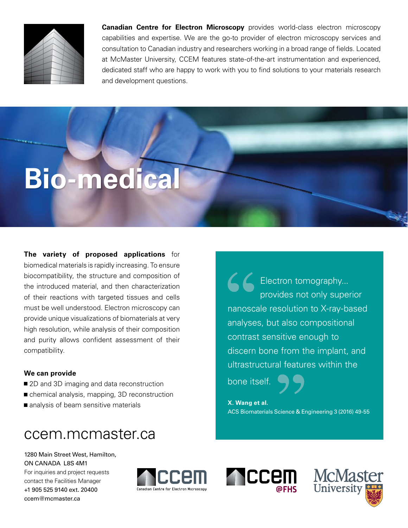

**Canadian Centre for Electron Microscopy** provides world-class electron microscopy capabilities and expertise. We are the go-to provider of electron microscopy services and consultation to Canadian industry and researchers working in a broad range of fields. Located at McMaster University, CCEM features state-of-the-art instrumentation and experienced, dedicated staff who are happy to work with you to find solutions to your materials research and development questions.

# **Bio-medical**

**The variety of proposed applications** for biomedical materials is rapidly increasing. To ensure biocompatibility, the structure and composition of the introduced material, and then characterization of their reactions with targeted tissues and cells must be well understood. Electron microscopy can provide unique visualizations of biomaterials at very high resolution, while analysis of their composition and purity allows confident assessment of their compatibility.

## **We can provide**

- 2D and 3D imaging and data reconstruction
- chemical analysis, mapping, 3D reconstruction
- analysis of beam sensitive materials

## ccem.mcmaster.ca

1280 Main Street West, Hamilton, ON CANADA L8S 4M1 For inquiries and project requests contact the Facilities Manager +1 905 525 9140 ext. 20400

[ccem@mcmaster.ca](mailto:ccem%40mcmaster.ca?subject=)



Electron tomography... provides not only superior nanoscale resolution to X-ray-based analyses, but also compositional contrast sensitive enough to discern bone from the implant, and ultrastructural features within the

bone itself.

**X. Wang et al.**  ACS Biomaterials Science & Engineering 3 (2016) 49-55